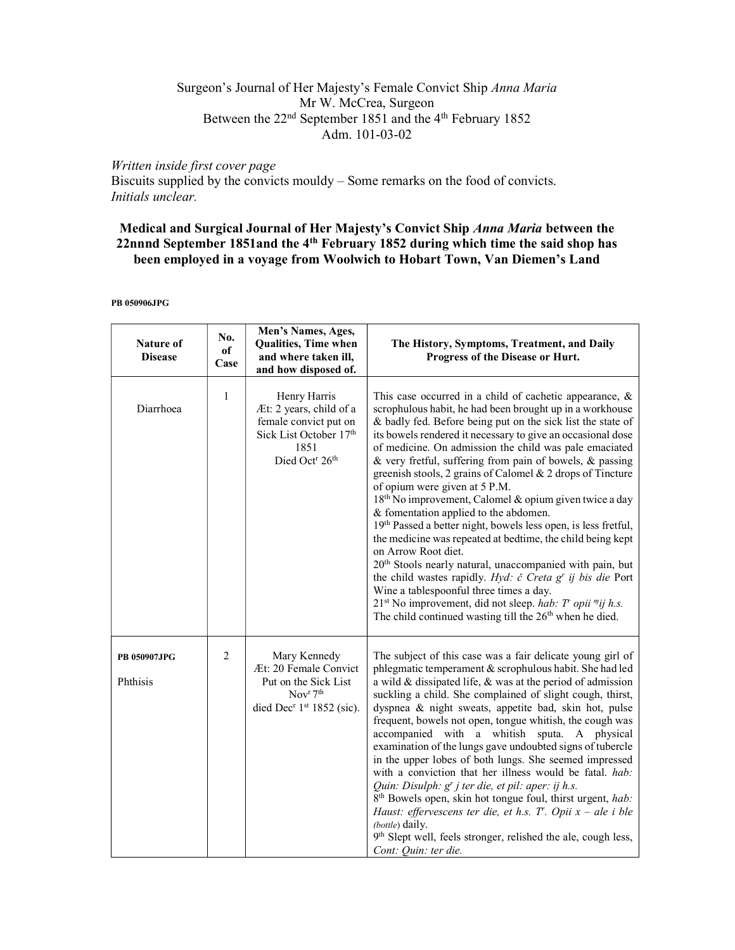## Surgeon's Journal of Her Majesty's Female Convict Ship Anna Maria Mr W. McCrea, Surgeon Between the 22<sup>nd</sup> September 1851 and the 4<sup>th</sup> February 1852 Adm. 101-03-02

## Written inside first cover page

Biscuits supplied by the convicts mouldy – Some remarks on the food of convicts. Initials unclear.

# Medical and Surgical Journal of Her Majesty's Convict Ship Anna Maria between the 22nnnd September 1851and the 4<sup>th</sup> February 1852 during which time the said shop has been employed in a voyage from Woolwich to Hobart Town, Van Diemen's Land

PB 050906JPG

| Nature of<br><b>Disease</b> | No.<br>of<br>Case | Men's Names, Ages,<br>Qualities, Time when<br>and where taken ill,<br>and how disposed of.                                                             | The History, Symptoms, Treatment, and Daily<br>Progress of the Disease or Hurt.                                                                                                                                                                                                                                                                                                                                                                                                                                                                                                                                                                                                                                                                                                                                                                                                                                                                                                                                                                            |
|-----------------------------|-------------------|--------------------------------------------------------------------------------------------------------------------------------------------------------|------------------------------------------------------------------------------------------------------------------------------------------------------------------------------------------------------------------------------------------------------------------------------------------------------------------------------------------------------------------------------------------------------------------------------------------------------------------------------------------------------------------------------------------------------------------------------------------------------------------------------------------------------------------------------------------------------------------------------------------------------------------------------------------------------------------------------------------------------------------------------------------------------------------------------------------------------------------------------------------------------------------------------------------------------------|
| Diarrhoea                   | $\mathbf{1}$      | Henry Harris<br>Æt: 2 years, child of a<br>female convict put on<br>Sick List October 17th<br>1851<br>Died Oct <sup>r</sup> 26 <sup>th</sup>           | This case occurred in a child of cachetic appearance, $\&$<br>scrophulous habit, he had been brought up in a workhouse<br>& badly fed. Before being put on the sick list the state of<br>its bowels rendered it necessary to give an occasional dose<br>of medicine. On admission the child was pale emaciated<br>& very fretful, suffering from pain of bowels, & passing<br>greenish stools, 2 grains of Calomel & 2 drops of Tincture<br>of opium were given at 5 P.M.<br>18 <sup>th</sup> No improvement, Calomel & opium given twice a day<br>& fomentation applied to the abdomen.<br>19th Passed a better night, bowels less open, is less fretful,<br>the medicine was repeated at bedtime, the child being kept<br>on Arrow Root diet.<br>20 <sup>th</sup> Stools nearly natural, unaccompanied with pain, but<br>the child wastes rapidly. Hyd: č Creta g' ij bis die Port<br>Wine a tablespoonful three times a day.<br>$21st$ No improvement, did not sleep. hab: T opii "ij h.s.<br>The child continued wasting till the $26th$ when he died. |
| PB 050907JPG<br>Phthisis    | 2                 | Mary Kennedy<br>Æt: 20 Female Convict<br>Put on the Sick List<br>Nov <sup>r</sup> 7 <sup>th</sup><br>died Dec <sup>r</sup> 1 <sup>st</sup> 1852 (sic). | The subject of this case was a fair delicate young girl of<br>phlegmatic temperament & scrophulous habit. She had led<br>a wild & dissipated life, & was at the period of admission<br>suckling a child. She complained of slight cough, thirst,<br>dyspnea & night sweats, appetite bad, skin hot, pulse<br>frequent, bowels not open, tongue whitish, the cough was<br>accompanied with a whitish sputa. A physical<br>examination of the lungs gave undoubted signs of tubercle<br>in the upper lobes of both lungs. She seemed impressed<br>with a conviction that her illness would be fatal. hab:<br>Quin: Disulph: g' j ter die, et pil: aper: ij h.s.<br>8 <sup>th</sup> Bowels open, skin hot tongue foul, thirst urgent, hab:<br>Haust: effervescens ter die, et h.s. $T^r$ . Opii $x - ale$ i ble<br>(bottle) daily.<br>9th Slept well, feels stronger, relished the ale, cough less,<br>Cont: Quin: ter die.                                                                                                                                   |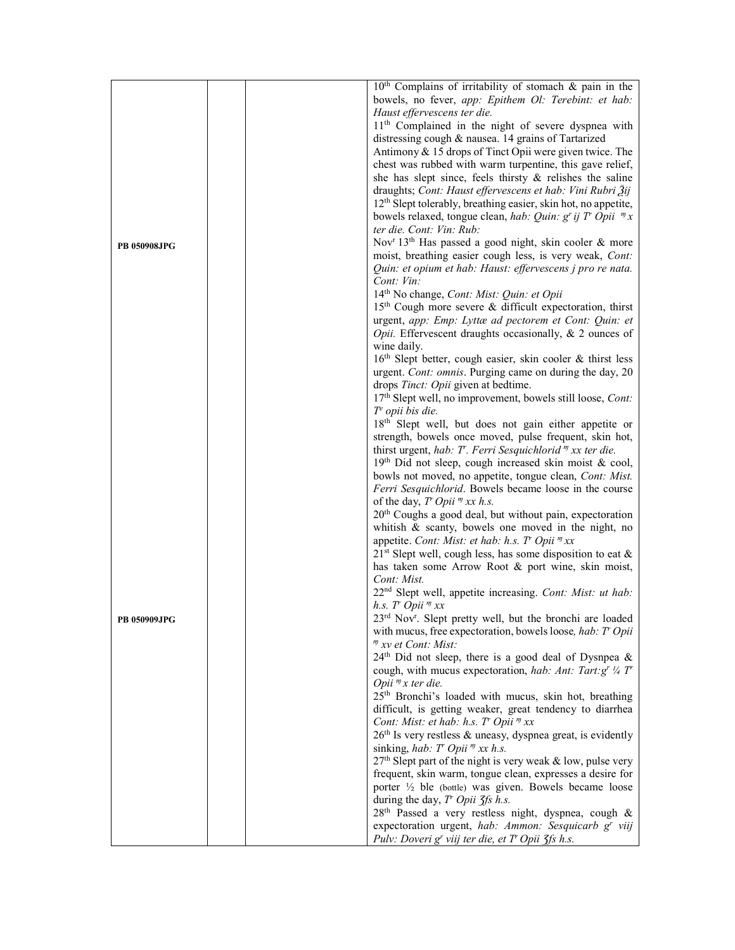|                     | $10th$ Complains of irritability of stomach & pain in the                        |
|---------------------|----------------------------------------------------------------------------------|
|                     | bowels, no fever, app: Epithem Ol: Terebint: et hab:                             |
|                     | Haust effervescens ter die.                                                      |
|                     | 11 <sup>th</sup> Complained in the night of severe dyspnea with                  |
|                     | distressing cough & nausea. 14 grains of Tartarized                              |
|                     | Antimony & 15 drops of Tinct Opii were given twice. The                          |
|                     | chest was rubbed with warm turpentine, this gave relief,                         |
|                     | she has slept since, feels thirsty $\&$ relishes the saline                      |
|                     | draughts; Cont: Haust effervescens et hab: Vini Rubri Žij                        |
|                     | 12 <sup>th</sup> Slept tolerably, breathing easier, skin hot, no appetite,       |
|                     | bowels relaxed, tongue clean, hab: Quin: $g^{r}$ ij T <sup>r</sup> Opii $^{m}$ x |
|                     | ter die. Cont: Vin: Rub:                                                         |
| <b>PB 050908JPG</b> | Nov <sup>r</sup> 13 <sup>th</sup> Has passed a good night, skin cooler & more    |
|                     | moist, breathing easier cough less, is very weak, Cont:                          |
|                     | Quin: et opium et hab: Haust: effervescens j pro re nata.                        |
|                     | Cont: Vin:                                                                       |
|                     | 14 <sup>th</sup> No change, Cont: Mist: Quin: et Opii                            |
|                     | 15 <sup>th</sup> Cough more severe & difficult expectoration, thirst             |
|                     | urgent, app: Emp: Lyttæ ad pectorem et Cont: Quin: et                            |
|                     | Opii. Effervescent draughts occasionally, & 2 ounces of                          |
|                     | wine daily.                                                                      |
|                     | 16th Slept better, cough easier, skin cooler & thirst less                       |
|                     | urgent. Cont: omnis. Purging came on during the day, 20                          |
|                     | drops Tinct: Opii given at bedtime.                                              |
|                     | 17th Slept well, no improvement, bowels still loose, Cont:                       |
|                     | $Te$ opii bis die.                                                               |
|                     | 18 <sup>th</sup> Slept well, but does not gain either appetite or                |
|                     | strength, bowels once moved, pulse frequent, skin hot,                           |
|                     | thirst urgent, hab: $T$ . Ferri Sesquichlorid $\eta x$ x ter die.                |
|                     | 19th Did not sleep, cough increased skin moist & cool,                           |
|                     | bowls not moved, no appetite, tongue clean, Cont: Mist.                          |
|                     | Ferri Sesquichlorid. Bowels became loose in the course                           |
|                     | of the day, $T$ Opii $\eta$ xx h.s.                                              |
|                     | 20 <sup>th</sup> Coughs a good deal, but without pain, expectoration             |
|                     | whitish $\&$ scanty, bowels one moved in the night, no                           |
|                     | appetite. Cont: Mist: et hab: h.s. $T$ Opii $\eta x x$                           |
|                     | $21st$ Slept well, cough less, has some disposition to eat &                     |
|                     | has taken some Arrow Root & port wine, skin moist,<br>Cont: Mist.                |
|                     | 22 <sup>nd</sup> Slept well, appetite increasing. Cont: Mist: ut hab:            |
|                     | h.s. T <sup>r</sup> Opii <sup>m</sup> xx                                         |
|                     | 23rd Nov <sup>r</sup> . Slept pretty well, but the bronchi are loaded            |
| <b>PB 050909JPG</b> | with mucus, free expectoration, bowels loose, hab: T Opii                        |
|                     | " xv et Cont: Mist:                                                              |
|                     | $24th$ Did not sleep, there is a good deal of Dysnpea &                          |
|                     | cough, with mucus expectoration, hab: Ant: Tart: $g^r$ 1/4 T                     |
|                     | Opii $\eta x$ ter die.                                                           |
|                     | 25 <sup>th</sup> Bronchi's loaded with mucus, skin hot, breathing                |
|                     | difficult, is getting weaker, great tendency to diarrhea                         |
|                     | Cont: Mist: et hab: h.s. T' Opii " xx                                            |
|                     | $26th$ Is very restless & uneasy, dyspnea great, is evidently                    |
|                     | sinking, hab: $T'$ Opii $\eta x x$ h.s.                                          |
|                     | 27 <sup>th</sup> Slept part of the night is very weak & low, pulse very          |
|                     | frequent, skin warm, tongue clean, expresses a desire for                        |
|                     | porter 1/2 ble (bottle) was given. Bowels became loose                           |
|                     | during the day, $T'$ Opii $\zeta$ fs h.s.                                        |
|                     | 28th Passed a very restless night, dyspnea, cough &                              |
|                     | expectoration urgent, hab: Ammon: Sesquicarb g' viij                             |
|                     | Pulv: Doveri g' viij ter die, et T' Opii 3fs h.s.                                |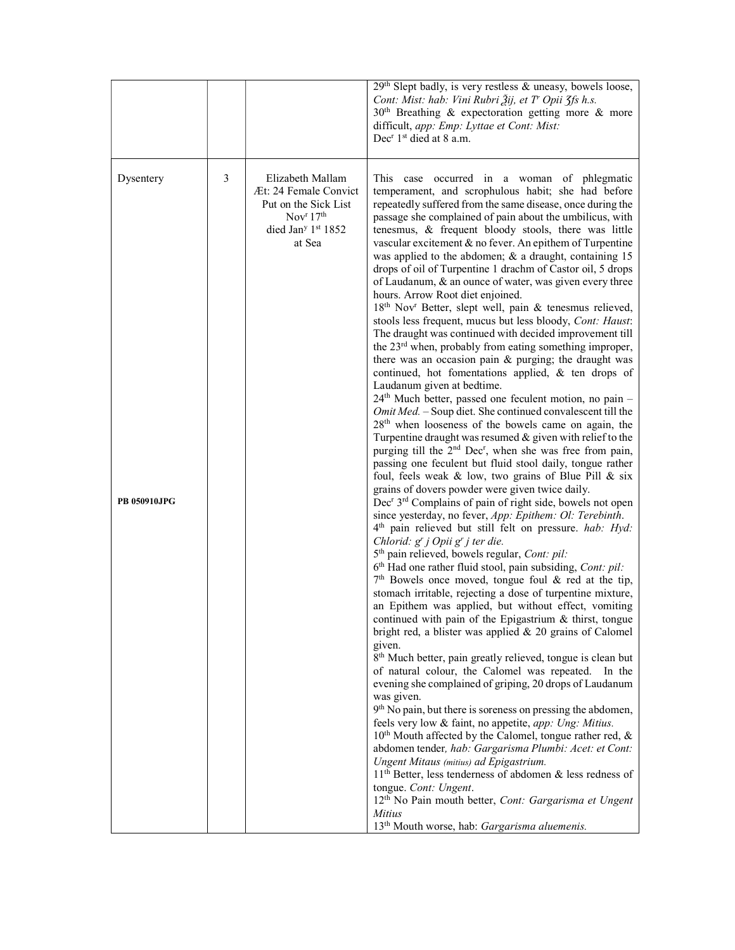|                                  |   |                                                                                                                                                    | 29th Slept badly, is very restless & uneasy, bowels loose,<br>Cont: Mist: hab: Vini Rubri Žij, et T' Opii 3fs h.s.<br>$30th$ Breathing & expectoration getting more & more<br>difficult, app: Emp: Lyttae et Cont: Mist:<br>Dec <sup>r</sup> 1 <sup>st</sup> died at 8 a.m.                                                                                                                                                                                                                                                                                                                                                                                                                                                                                                                                                                                                                                                                                                                                                                                                                                                                                                                                                                                                                                                                                                                                                                                                                                                                                                                                                                                                                                                                                                                                                                                                                                                                                                                                                                                                                                                                                                                                                                                                                                                                                                                                                                                                                                                                                                                                                                                                                                                                                                                                                                                                                                                     |
|----------------------------------|---|----------------------------------------------------------------------------------------------------------------------------------------------------|---------------------------------------------------------------------------------------------------------------------------------------------------------------------------------------------------------------------------------------------------------------------------------------------------------------------------------------------------------------------------------------------------------------------------------------------------------------------------------------------------------------------------------------------------------------------------------------------------------------------------------------------------------------------------------------------------------------------------------------------------------------------------------------------------------------------------------------------------------------------------------------------------------------------------------------------------------------------------------------------------------------------------------------------------------------------------------------------------------------------------------------------------------------------------------------------------------------------------------------------------------------------------------------------------------------------------------------------------------------------------------------------------------------------------------------------------------------------------------------------------------------------------------------------------------------------------------------------------------------------------------------------------------------------------------------------------------------------------------------------------------------------------------------------------------------------------------------------------------------------------------------------------------------------------------------------------------------------------------------------------------------------------------------------------------------------------------------------------------------------------------------------------------------------------------------------------------------------------------------------------------------------------------------------------------------------------------------------------------------------------------------------------------------------------------------------------------------------------------------------------------------------------------------------------------------------------------------------------------------------------------------------------------------------------------------------------------------------------------------------------------------------------------------------------------------------------------------------------------------------------------------------------------------------------------|
| Dysentery<br><b>PB 050910JPG</b> | 3 | Elizabeth Mallam<br>Æt: 24 Female Convict<br>Put on the Sick List<br>Nov <sup>r</sup> 17 <sup>th</sup><br>died Jan <sup>y 1st</sup> 1852<br>at Sea | This case occurred in a woman of phlegmatic<br>temperament, and scrophulous habit; she had before<br>repeatedly suffered from the same disease, once during the<br>passage she complained of pain about the umbilicus, with<br>tenesmus, & frequent bloody stools, there was little<br>vascular excitement & no fever. An epithem of Turpentine<br>was applied to the abdomen; $\&$ a draught, containing 15<br>drops of oil of Turpentine 1 drachm of Castor oil, 5 drops<br>of Laudanum, & an ounce of water, was given every three<br>hours. Arrow Root diet enjoined.<br>18th Nov <sup>r</sup> Better, slept well, pain & tenesmus relieved,<br>stools less frequent, mucus but less bloody, Cont: Haust:<br>The draught was continued with decided improvement till<br>the 23 <sup>rd</sup> when, probably from eating something improper,<br>there was an occasion pain $\&$ purging; the draught was<br>continued, hot fomentations applied, & ten drops of<br>Laudanum given at bedtime.<br>24 <sup>th</sup> Much better, passed one feculent motion, no pain -<br>Omit Med. - Soup diet. She continued convalescent till the<br>$28th$ when looseness of the bowels came on again, the<br>Turpentine draught was resumed $&$ given with relief to the<br>purging till the 2 <sup>nd</sup> Dec <sup>r</sup> , when she was free from pain,<br>passing one feculent but fluid stool daily, tongue rather<br>foul, feels weak & low, two grains of Blue Pill & six<br>grains of dovers powder were given twice daily.<br>Dec <sup>r</sup> 3 <sup>rd</sup> Complains of pain of right side, bowels not open<br>since yesterday, no fever, App: Epithem: Ol: Terebinth.<br>4 <sup>th</sup> pain relieved but still felt on pressure. hab: Hyd:<br>Chlorid: g' j Opii g' j ter die.<br>5 <sup>th</sup> pain relieved, bowels regular, Cont: pil:<br>6 <sup>th</sup> Had one rather fluid stool, pain subsiding, Cont: pil:<br>$7th$ Bowels once moved, tongue foul & red at the tip,<br>stomach irritable, rejecting a dose of turpentine mixture,<br>an Epithem was applied, but without effect, vomiting<br>continued with pain of the Epigastrium & thirst, tongue<br>bright red, a blister was applied $& 20$ grains of Calomel<br>given.<br>8 <sup>th</sup> Much better, pain greatly relieved, tongue is clean but<br>of natural colour, the Calomel was repeated. In the<br>evening she complained of griping, 20 drops of Laudanum<br>was given.<br>9 <sup>th</sup> No pain, but there is soreness on pressing the abdomen,<br>feels very low & faint, no appetite, app: Ung: Mitius.<br>$10th$ Mouth affected by the Calomel, tongue rather red, &<br>abdomen tender, hab: Gargarisma Plumbi: Acet: et Cont:<br>Ungent Mitaus (mitius) ad Epigastrium.<br>$11th$ Better, less tenderness of abdomen & less redness of<br>tongue. Cont: Ungent.<br>12 <sup>th</sup> No Pain mouth better, Cont: Gargarisma et Ungent |
|                                  |   |                                                                                                                                                    | <b>Mitius</b><br>13 <sup>th</sup> Mouth worse, hab: Gargarisma aluemenis.                                                                                                                                                                                                                                                                                                                                                                                                                                                                                                                                                                                                                                                                                                                                                                                                                                                                                                                                                                                                                                                                                                                                                                                                                                                                                                                                                                                                                                                                                                                                                                                                                                                                                                                                                                                                                                                                                                                                                                                                                                                                                                                                                                                                                                                                                                                                                                                                                                                                                                                                                                                                                                                                                                                                                                                                                                                       |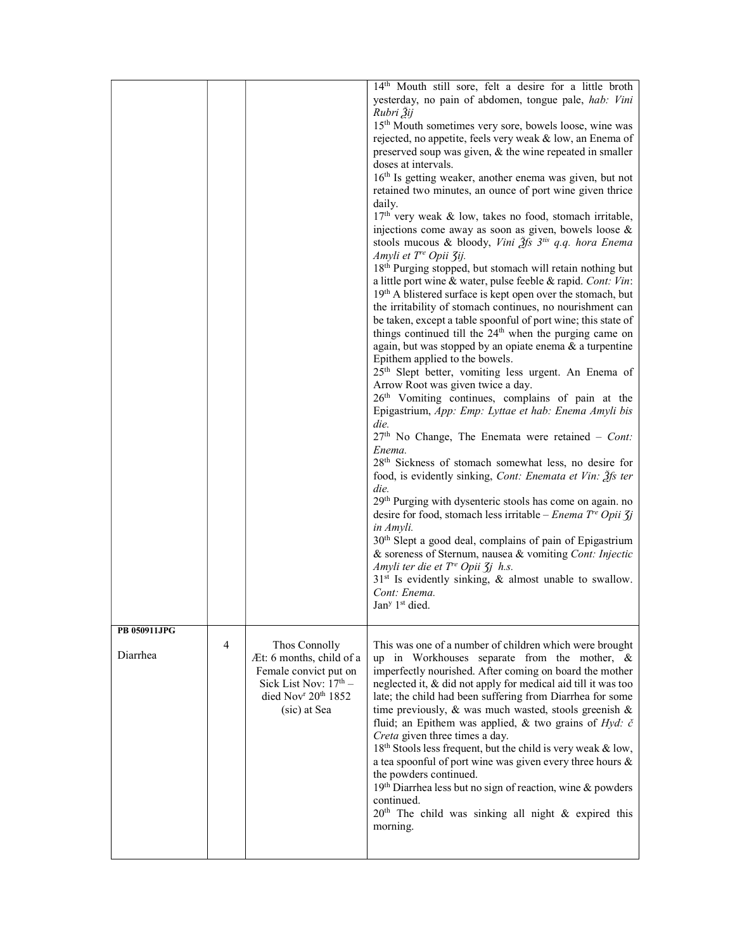|                          |   |                                                                                                                                                            | 14th Mouth still sore, felt a desire for a little broth<br>yesterday, no pain of abdomen, tongue pale, hab: Vini<br>Rubri $3i$<br>15 <sup>th</sup> Mouth sometimes very sore, bowels loose, wine was<br>rejected, no appetite, feels very weak & low, an Enema of<br>preserved soup was given, $\&$ the wine repeated in smaller<br>doses at intervals.<br>16 <sup>th</sup> Is getting weaker, another enema was given, but not<br>retained two minutes, an ounce of port wine given thrice<br>daily.<br>17th very weak & low, takes no food, stomach irritable,<br>injections come away as soon as given, bowels loose &<br>stools mucous & bloody, Vini $\tilde{\mathcal{J}}$ fs $3^{iis}$ q.q. hora Enema<br>Amyli et T <sup>re</sup> Opii 3ij.<br>18 <sup>th</sup> Purging stopped, but stomach will retain nothing but<br>a little port wine & water, pulse feeble & rapid. Cont: Vin:<br>19th A blistered surface is kept open over the stomach, but<br>the irritability of stomach continues, no nourishment can<br>be taken, except a table spoonful of port wine; this state of<br>things continued till the 24 <sup>th</sup> when the purging came on<br>again, but was stopped by an opiate enema $\&$ a turpentine<br>Epithem applied to the bowels.<br>25 <sup>th</sup> Slept better, vomiting less urgent. An Enema of<br>Arrow Root was given twice a day.<br>26 <sup>th</sup> Vomiting continues, complains of pain at the<br>Epigastrium, App: Emp: Lyttae et hab: Enema Amyli bis<br>die.<br>$27th$ No Change, The Enemata were retained - Cont:<br>Enema.<br>28 <sup>th</sup> Sickness of stomach somewhat less, no desire for<br>food, is evidently sinking, Cont: Enemata et Vin: 3fs ter<br>die.<br>29 <sup>th</sup> Purging with dysenteric stools has come on again. no<br>desire for food, stomach less irritable – Enema $T^e$ Opii $\overline{\chi}$ j<br>in Amyli.<br>30 <sup>th</sup> Slept a good deal, complains of pain of Epigastrium<br>& soreness of Sternum, nausea & vomiting Cont: Injectic<br>Amyli ter die et $T^e$ Opii $\zeta$ <i>j</i> h.s.<br>$31st$ Is evidently sinking, & almost unable to swallow.<br>Cont: Enema.<br>Jan <sup>y</sup> 1 <sup>st</sup> died. |
|--------------------------|---|------------------------------------------------------------------------------------------------------------------------------------------------------------|--------------------------------------------------------------------------------------------------------------------------------------------------------------------------------------------------------------------------------------------------------------------------------------------------------------------------------------------------------------------------------------------------------------------------------------------------------------------------------------------------------------------------------------------------------------------------------------------------------------------------------------------------------------------------------------------------------------------------------------------------------------------------------------------------------------------------------------------------------------------------------------------------------------------------------------------------------------------------------------------------------------------------------------------------------------------------------------------------------------------------------------------------------------------------------------------------------------------------------------------------------------------------------------------------------------------------------------------------------------------------------------------------------------------------------------------------------------------------------------------------------------------------------------------------------------------------------------------------------------------------------------------------------------------------------------------------------------------------------------------------------------------------------------------------------------------------------------------------------------------------------------------------------------------------------------------------------------------------------------------------------------------------------------------------------------------------------------------------------------------------------------------------------------------------------------------------------------|
| PB 050911JPG<br>Diarrhea | 4 | Thos Connolly<br>Æt: 6 months, child of a<br>Female convict put on<br>Sick List Nov: 17th -<br>died Nov <sup>r</sup> 20 <sup>th</sup> 1852<br>(sic) at Sea | This was one of a number of children which were brought<br>up in Workhouses separate from the mother, &<br>imperfectly nourished. After coming on board the mother<br>neglected it, & did not apply for medical aid till it was too<br>late; the child had been suffering from Diarrhea for some<br>time previously, & was much wasted, stools greenish &<br>fluid; an Epithem was applied, & two grains of $Hyd$ : č<br>Creta given three times a day.<br>18 <sup>th</sup> Stools less frequent, but the child is very weak & low,<br>a tea spoonful of port wine was given every three hours &<br>the powders continued.<br>19th Diarrhea less but no sign of reaction, wine & powders<br>continued.<br>20 <sup>th</sup> The child was sinking all night & expired this<br>morning.                                                                                                                                                                                                                                                                                                                                                                                                                                                                                                                                                                                                                                                                                                                                                                                                                                                                                                                                                                                                                                                                                                                                                                                                                                                                                                                                                                                                                        |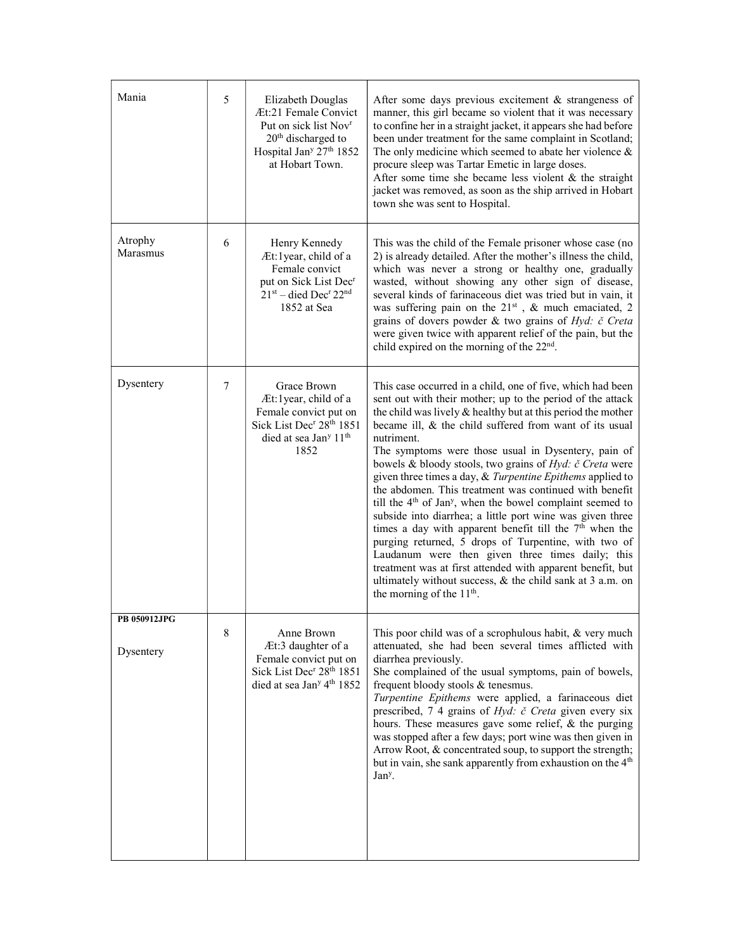| Mania                     | 5 | Elizabeth Douglas<br>Æt:21 Female Convict<br>Put on sick list Nov <sup>r</sup><br>20 <sup>th</sup> discharged to<br>Hospital Jan <sup>y</sup> 27 <sup>th</sup> 1852<br>at Hobart Town. | After some days previous excitement & strangeness of<br>manner, this girl became so violent that it was necessary<br>to confine her in a straight jacket, it appears she had before<br>been under treatment for the same complaint in Scotland;<br>The only medicine which seemed to abate her violence $\&$<br>procure sleep was Tartar Emetic in large doses.<br>After some time she became less violent $&$ the straight<br>jacket was removed, as soon as the ship arrived in Hobart<br>town she was sent to Hospital.                                                                                                                                                                                                                                                                                                                                                                                                                                                                      |
|---------------------------|---|----------------------------------------------------------------------------------------------------------------------------------------------------------------------------------------|-------------------------------------------------------------------------------------------------------------------------------------------------------------------------------------------------------------------------------------------------------------------------------------------------------------------------------------------------------------------------------------------------------------------------------------------------------------------------------------------------------------------------------------------------------------------------------------------------------------------------------------------------------------------------------------------------------------------------------------------------------------------------------------------------------------------------------------------------------------------------------------------------------------------------------------------------------------------------------------------------|
| Atrophy<br>Marasmus       | 6 | Henry Kennedy<br>Æt:1year, child of a<br>Female convict<br>put on Sick List Dec <sup>r</sup><br>$21st$ – died Dec <sup>r</sup> 22 <sup>nd</sup><br>1852 at Sea                         | This was the child of the Female prisoner whose case (no<br>2) is already detailed. After the mother's illness the child,<br>which was never a strong or healthy one, gradually<br>wasted, without showing any other sign of disease,<br>several kinds of farinaceous diet was tried but in vain, it<br>was suffering pain on the 21st, & much emaciated, 2<br>grains of dovers powder & two grains of Hyd: č Creta<br>were given twice with apparent relief of the pain, but the<br>child expired on the morning of the $22nd$ .                                                                                                                                                                                                                                                                                                                                                                                                                                                               |
| Dysentery                 | 7 | Grace Brown<br>Æt:1year, child of a<br>Female convict put on<br>Sick List Dec <sup>r</sup> 28 <sup>th</sup> 1851<br>died at sea Jan <sup>y</sup> 11 <sup>th</sup><br>1852              | This case occurred in a child, one of five, which had been<br>sent out with their mother; up to the period of the attack<br>the child was lively & healthy but at this period the mother<br>became ill, & the child suffered from want of its usual<br>nutriment.<br>The symptoms were those usual in Dysentery, pain of<br>bowels & bloody stools, two grains of Hyd: č Creta were<br>given three times a day, & Turpentine Epithems applied to<br>the abdomen. This treatment was continued with benefit<br>till the $4th$ of Jan <sup>y</sup> , when the bowel complaint seemed to<br>subside into diarrhea; a little port wine was given three<br>times a day with apparent benefit till the $7th$ when the<br>purging returned, 5 drops of Turpentine, with two of<br>Laudanum were then given three times daily; this<br>treatment was at first attended with apparent benefit, but<br>ultimately without success, & the child sank at 3 a.m. on<br>the morning of the 11 <sup>th</sup> . |
| PB 050912JPG<br>Dysentery | 8 | Anne Brown<br>Æt:3 daughter of a<br>Female convict put on<br>Sick List Dec <sup>r</sup> 28 <sup>th</sup> 1851<br>died at sea Jan <sup>y</sup> 4 <sup>th</sup> 1852                     | This poor child was of a scrophulous habit, & very much<br>attenuated, she had been several times afflicted with<br>diarrhea previously.<br>She complained of the usual symptoms, pain of bowels,<br>frequent bloody stools & tenesmus.<br>Turpentine Epithems were applied, a farinaceous diet<br>prescribed, 7 4 grains of <i>Hyd: č Creta</i> given every six<br>hours. These measures gave some relief, & the purging<br>was stopped after a few days; port wine was then given in<br>Arrow Root, & concentrated soup, to support the strength;<br>but in vain, she sank apparently from exhaustion on the 4 <sup>th</sup><br>Jan <sup>y</sup> .                                                                                                                                                                                                                                                                                                                                            |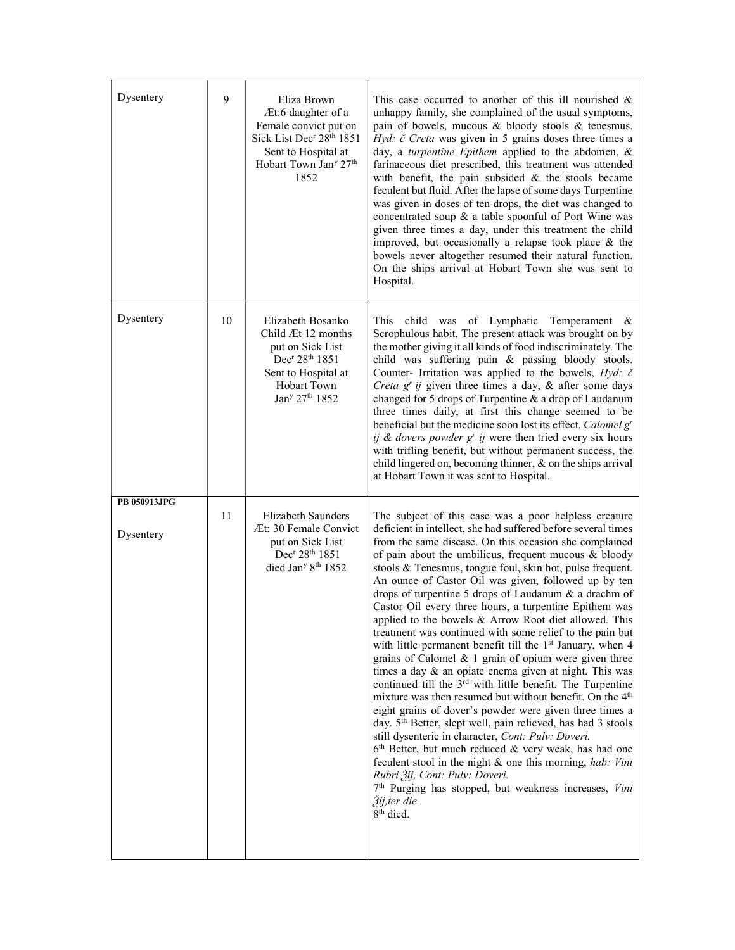| Dysentery                 | 9  | Eliza Brown<br>Æt:6 daughter of a<br>Female convict put on<br>Sick List Dec <sup>r</sup> 28 <sup>th</sup> 1851<br>Sent to Hospital at<br>Hobart Town Jan <sup>y</sup> 27 <sup>th</sup><br>1852 | This case occurred to another of this ill nourished $\&$<br>unhappy family, she complained of the usual symptoms,<br>pain of bowels, mucous & bloody stools & tenesmus.<br>Hyd: č Creta was given in 5 grains doses three times a<br>day, a turpentine Epithem applied to the abdomen, &<br>farinaceous diet prescribed, this treatment was attended<br>with benefit, the pain subsided $\&$ the stools became<br>feculent but fluid. After the lapse of some days Turpentine<br>was given in doses of ten drops, the diet was changed to<br>concentrated soup & a table spoonful of Port Wine was<br>given three times a day, under this treatment the child<br>improved, but occasionally a relapse took place & the<br>bowels never altogether resumed their natural function.<br>On the ships arrival at Hobart Town she was sent to<br>Hospital.                                                                                                                                                                                                                                                                                                                                                                                                                                                                                                                                                                          |
|---------------------------|----|------------------------------------------------------------------------------------------------------------------------------------------------------------------------------------------------|--------------------------------------------------------------------------------------------------------------------------------------------------------------------------------------------------------------------------------------------------------------------------------------------------------------------------------------------------------------------------------------------------------------------------------------------------------------------------------------------------------------------------------------------------------------------------------------------------------------------------------------------------------------------------------------------------------------------------------------------------------------------------------------------------------------------------------------------------------------------------------------------------------------------------------------------------------------------------------------------------------------------------------------------------------------------------------------------------------------------------------------------------------------------------------------------------------------------------------------------------------------------------------------------------------------------------------------------------------------------------------------------------------------------------------|
| Dysentery                 | 10 | Elizabeth Bosanko<br>Child Æt 12 months<br>put on Sick List<br>Dec <sup>r</sup> 28 <sup>th</sup> 1851<br>Sent to Hospital at<br><b>Hobart Town</b><br>Jan <sup>y</sup> 27 <sup>th</sup> 1852   | This child was of Lymphatic Temperament &<br>Scrophulous habit. The present attack was brought on by<br>the mother giving it all kinds of food indiscriminately. The<br>child was suffering pain & passing bloody stools.<br>Counter- Irritation was applied to the bowels, $Hyd$ : č<br>Creta $g^{r}$ ij given three times a day, & after some days<br>changed for 5 drops of Turpentine & a drop of Laudanum<br>three times daily, at first this change seemed to be<br>beneficial but the medicine soon lost its effect. Calomel g'<br>ij & dovers powder $gr$ ij were then tried every six hours<br>with trifling benefit, but without permanent success, the<br>child lingered on, becoming thinner, & on the ships arrival<br>at Hobart Town it was sent to Hospital.                                                                                                                                                                                                                                                                                                                                                                                                                                                                                                                                                                                                                                                    |
| PB 050913JPG<br>Dysentery | 11 | Elizabeth Saunders<br>Æt: 30 Female Convict<br>put on Sick List<br>Dec <sup>r</sup> 28 <sup>th</sup> 1851<br>died Jan <sup>y 8th</sup> 1852                                                    | The subject of this case was a poor helpless creature<br>deficient in intellect, she had suffered before several times<br>from the same disease. On this occasion she complained<br>of pain about the umbilicus, frequent mucous & bloody<br>stools & Tenesmus, tongue foul, skin hot, pulse frequent.<br>An ounce of Castor Oil was given, followed up by ten<br>drops of turpentine 5 drops of Laudanum & a drachm of<br>Castor Oil every three hours, a turpentine Epithem was<br>applied to the bowels & Arrow Root diet allowed. This<br>treatment was continued with some relief to the pain but<br>with little permanent benefit till the 1 <sup>st</sup> January, when 4<br>grains of Calomel $\&$ 1 grain of opium were given three<br>times a day & an opiate enema given at night. This was<br>continued till the 3 <sup>rd</sup> with little benefit. The Turpentine<br>mixture was then resumed but without benefit. On the 4 <sup>th</sup><br>eight grains of dover's powder were given three times a<br>day. 5 <sup>th</sup> Better, slept well, pain relieved, has had 3 stools<br>still dysenteric in character, Cont: Pulv: Doveri.<br>$6th$ Better, but much reduced & very weak, has had one<br>feculent stool in the night & one this morning, hab: Vini<br>Rubri Žij, Cont: Pulv: Doveri.<br>7 <sup>th</sup> Purging has stopped, but weakness increases, Vini<br>Žij, ter die.<br>8 <sup>th</sup> died. |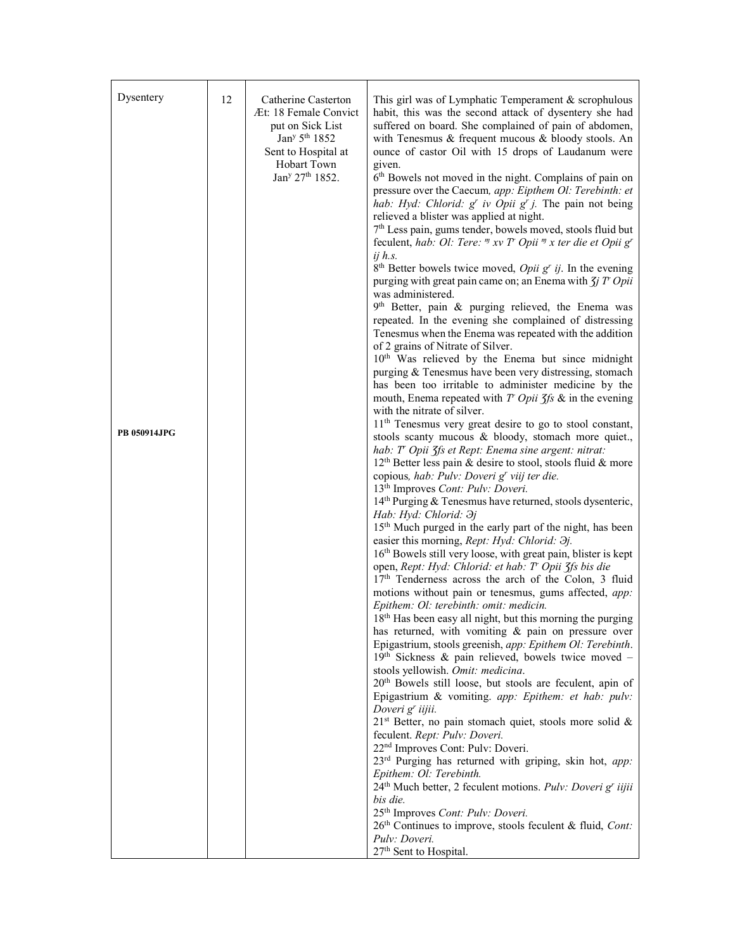| Dysentery           | 12 | Catherine Casterton<br>Æt: 18 Female Convict<br>put on Sick List<br>Jan <sup>y 5th</sup> 1852<br>Sent to Hospital at<br>Hobart Town<br>Jan <sup>y</sup> 27 <sup>th</sup> 1852. | This girl was of Lymphatic Temperament & scrophulous<br>habit, this was the second attack of dysentery she had<br>suffered on board. She complained of pain of abdomen,<br>with Tenesmus & frequent mucous & bloody stools. An<br>ounce of castor Oil with 15 drops of Laudanum were<br>given.<br>6 <sup>th</sup> Bowels not moved in the night. Complains of pain on<br>pressure over the Caecum, app: Eipthem Ol: Terebinth: et<br>hab: Hyd: Chlorid: $g^r$ iv Opii $g^r$ j. The pain not being<br>relieved a blister was applied at night.                                                                                                                                                                                                                                                                                                                                                                                                                                                                                                                                                                                                                                                                                                                                                                                                                                                                                                                                                                                                                                                                                                                                                                                                                                                                                                                                                                                                                                                                                                                                                                                                                                     |
|---------------------|----|--------------------------------------------------------------------------------------------------------------------------------------------------------------------------------|-----------------------------------------------------------------------------------------------------------------------------------------------------------------------------------------------------------------------------------------------------------------------------------------------------------------------------------------------------------------------------------------------------------------------------------------------------------------------------------------------------------------------------------------------------------------------------------------------------------------------------------------------------------------------------------------------------------------------------------------------------------------------------------------------------------------------------------------------------------------------------------------------------------------------------------------------------------------------------------------------------------------------------------------------------------------------------------------------------------------------------------------------------------------------------------------------------------------------------------------------------------------------------------------------------------------------------------------------------------------------------------------------------------------------------------------------------------------------------------------------------------------------------------------------------------------------------------------------------------------------------------------------------------------------------------------------------------------------------------------------------------------------------------------------------------------------------------------------------------------------------------------------------------------------------------------------------------------------------------------------------------------------------------------------------------------------------------------------------------------------------------------------------------------------------------|
| <b>PB 050914JPG</b> |    |                                                                                                                                                                                | 7 <sup>th</sup> Less pain, gums tender, bowels moved, stools fluid but<br>feculent, hab: Ol: Tere: " xv T' Opii " x ter die et Opii g'<br>$ij$ h.s.<br>$8th$ Better bowels twice moved, <i>Opii</i> $gr$ <i>ij</i> . In the evening<br>purging with great pain came on; an Enema with $\zeta j$ T' Opii<br>was administered.<br>9th Better, pain & purging relieved, the Enema was<br>repeated. In the evening she complained of distressing<br>Tenesmus when the Enema was repeated with the addition<br>of 2 grains of Nitrate of Silver.<br>10 <sup>th</sup> Was relieved by the Enema but since midnight<br>purging & Tenesmus have been very distressing, stomach<br>has been too irritable to administer medicine by the<br>mouth, Enema repeated with $T$ Opii $\zeta$ fs & in the evening<br>with the nitrate of silver.<br>11 <sup>th</sup> Tenesmus very great desire to go to stool constant,<br>stools scanty mucous & bloody, stomach more quiet.,<br>hab: T' Opii 3fs et Rept: Enema sine argent: nitrat:<br>$12th$ Better less pain & desire to stool, stools fluid & more<br>copious, hab: Pulv: Doveri g' viij ter die.<br>13 <sup>th</sup> Improves Cont: Pulv: Doveri.<br>14th Purging & Tenesmus have returned, stools dysenteric,<br>Hab: Hyd: Chlorid: $\partial j$<br>15 <sup>th</sup> Much purged in the early part of the night, has been<br>easier this morning, Rept: Hyd: Chlorid: Əj.<br>16th Bowels still very loose, with great pain, blister is kept<br>open, Rept: Hyd: Chlorid: et hab: T' Opii 3fs bis die<br>17 <sup>th</sup> Tenderness across the arch of the Colon, 3 fluid<br>motions without pain or tenesmus, gums affected, app:<br>Epithem: Ol: terebinth: omit: medicin.<br>18 <sup>th</sup> Has been easy all night, but this morning the purging<br>has returned, with vomiting & pain on pressure over<br>Epigastrium, stools greenish, app: Epithem Ol: Terebinth.<br>$19th$ Sickness & pain relieved, bowels twice moved -<br>stools yellowish. Omit: medicina.<br>20 <sup>th</sup> Bowels still loose, but stools are feculent, apin of<br>Epigastrium & vomiting. app: Epithem: et hab: pulv:<br>Doveri g <sup>r</sup> iijii. |
|                     |    |                                                                                                                                                                                | 21 <sup>st</sup> Better, no pain stomach quiet, stools more solid &<br>feculent. Rept: Pulv: Doveri.<br>22 <sup>nd</sup> Improves Cont: Pulv: Doveri.<br>23rd Purging has returned with griping, skin hot, app:<br>Epithem: Ol: Terebinth.<br>24 <sup>th</sup> Much better, 2 feculent motions. Pulv: Doveri g' iijii<br>bis die.<br>25 <sup>th</sup> Improves Cont: Pulv: Doveri.<br>26th Continues to improve, stools feculent & fluid, Cont:                                                                                                                                                                                                                                                                                                                                                                                                                                                                                                                                                                                                                                                                                                                                                                                                                                                                                                                                                                                                                                                                                                                                                                                                                                                                                                                                                                                                                                                                                                                                                                                                                                                                                                                                   |
|                     |    |                                                                                                                                                                                | Pulv: Doveri.<br>27 <sup>th</sup> Sent to Hospital.                                                                                                                                                                                                                                                                                                                                                                                                                                                                                                                                                                                                                                                                                                                                                                                                                                                                                                                                                                                                                                                                                                                                                                                                                                                                                                                                                                                                                                                                                                                                                                                                                                                                                                                                                                                                                                                                                                                                                                                                                                                                                                                               |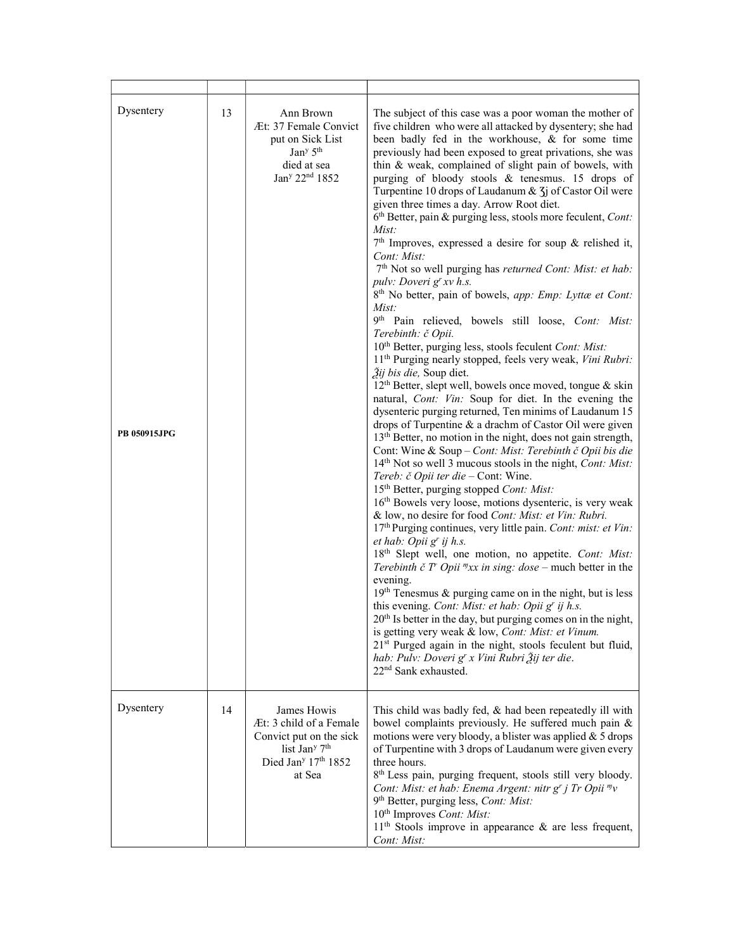| Dysentery<br><b>PB 050915JPG</b> | 13 | Ann Brown<br>Æt: 37 Female Convict<br>put on Sick List<br>Jan <sup>y</sup> 5 <sup>th</sup><br>died at sea<br>Jan <sup>y</sup> 22 <sup>nd</sup> 1852                 | The subject of this case was a poor woman the mother of<br>five children who were all attacked by dysentery; she had<br>been badly fed in the workhouse, & for some time<br>previously had been exposed to great privations, she was<br>thin & weak, complained of slight pain of bowels, with<br>purging of bloody stools & tenesmus. 15 drops of<br>Turpentine 10 drops of Laudanum & 3j of Castor Oil were<br>given three times a day. Arrow Root diet.<br>$6th$ Better, pain & purging less, stools more feculent, <i>Cont</i> :<br>Mist:<br>$7th$ Improves, expressed a desire for soup & relished it,<br>Cont: Mist:<br>7 <sup>th</sup> Not so well purging has returned Cont: Mist: et hab:<br>pulv: Doveri g' xv h.s.<br>8 <sup>th</sup> No better, pain of bowels, app: Emp: Lyttæ et Cont:<br>Mist:<br>9th Pain relieved, bowels still loose, Cont: Mist:<br>Terebinth: č Opii.<br>10 <sup>th</sup> Better, purging less, stools feculent Cont: Mist:<br>11 <sup>th</sup> Purging nearly stopped, feels very weak, Vini Rubri:<br>$\tilde{J}$ ij bis die, Soup diet.<br>12 <sup>th</sup> Better, slept well, bowels once moved, tongue & skin<br>natural, Cont: Vin: Soup for diet. In the evening the<br>dysenteric purging returned, Ten minims of Laudanum 15<br>drops of Turpentine & a drachm of Castor Oil were given<br>13 <sup>th</sup> Better, no motion in the night, does not gain strength,<br>Cont: Wine & Soup - Cont: Mist: Terebinth č Opii bis die<br>14 <sup>th</sup> Not so well 3 mucous stools in the night, <i>Cont: Mist:</i><br>Tereb: č Opii ter die - Cont: Wine.<br>15 <sup>th</sup> Better, purging stopped Cont: Mist:<br>16 <sup>th</sup> Bowels very loose, motions dysenteric, is very weak<br>& low, no desire for food Cont: Mist: et Vin: Rubri.<br>17th Purging continues, very little pain. Cont: mist: et Vin:<br>et hab: Opii g' ij h.s.<br>18 <sup>th</sup> Slept well, one motion, no appetite. Cont: Mist:<br>Terebinth č T' Opii $\sqrt[m]{xx}$ in sing: dose – much better in the<br>evening.<br>19th Tenesmus & purging came on in the night, but is less<br>this evening. Cont: Mist: et hab: Opii g' ij h.s.<br>20 <sup>th</sup> Is better in the day, but purging comes on in the night,<br>is getting very weak & low, Cont: Mist: et Vinum.<br>21 <sup>st</sup> Purged again in the night, stools feculent but fluid,<br>hab: Pulv: Doveri g' x Vini Rubri Žij ter die.<br>22 <sup>nd</sup> Sank exhausted. |
|----------------------------------|----|---------------------------------------------------------------------------------------------------------------------------------------------------------------------|-------------------------------------------------------------------------------------------------------------------------------------------------------------------------------------------------------------------------------------------------------------------------------------------------------------------------------------------------------------------------------------------------------------------------------------------------------------------------------------------------------------------------------------------------------------------------------------------------------------------------------------------------------------------------------------------------------------------------------------------------------------------------------------------------------------------------------------------------------------------------------------------------------------------------------------------------------------------------------------------------------------------------------------------------------------------------------------------------------------------------------------------------------------------------------------------------------------------------------------------------------------------------------------------------------------------------------------------------------------------------------------------------------------------------------------------------------------------------------------------------------------------------------------------------------------------------------------------------------------------------------------------------------------------------------------------------------------------------------------------------------------------------------------------------------------------------------------------------------------------------------------------------------------------------------------------------------------------------------------------------------------------------------------------------------------------------------------------------------------------------------------------------------------------------------------------------------------------------------------------------------------------------------------------------------------------------------------------------------------------------------------------------------------------------------------------------------------------------|
| Dysentery                        | 14 | James Howis<br>Æt: 3 child of a Female<br>Convict put on the sick<br>list Jan <sup>y</sup> 7 <sup>th</sup><br>Died Jan <sup>y</sup> 17 <sup>th</sup> 1852<br>at Sea | This child was badly fed, & had been repeatedly ill with<br>bowel complaints previously. He suffered much pain &<br>motions were very bloody, a blister was applied & 5 drops<br>of Turpentine with 3 drops of Laudanum were given every<br>three hours.<br>8 <sup>th</sup> Less pain, purging frequent, stools still very bloody.<br>Cont: Mist: et hab: Enema Argent: nitr g' j Tr Opii "v<br>9 <sup>th</sup> Better, purging less, <i>Cont: Mist:</i><br>10 <sup>th</sup> Improves Cont: Mist:<br>11 <sup>th</sup> Stools improve in appearance & are less frequent,<br>Cont: Mist:                                                                                                                                                                                                                                                                                                                                                                                                                                                                                                                                                                                                                                                                                                                                                                                                                                                                                                                                                                                                                                                                                                                                                                                                                                                                                                                                                                                                                                                                                                                                                                                                                                                                                                                                                                                                                                                                                  |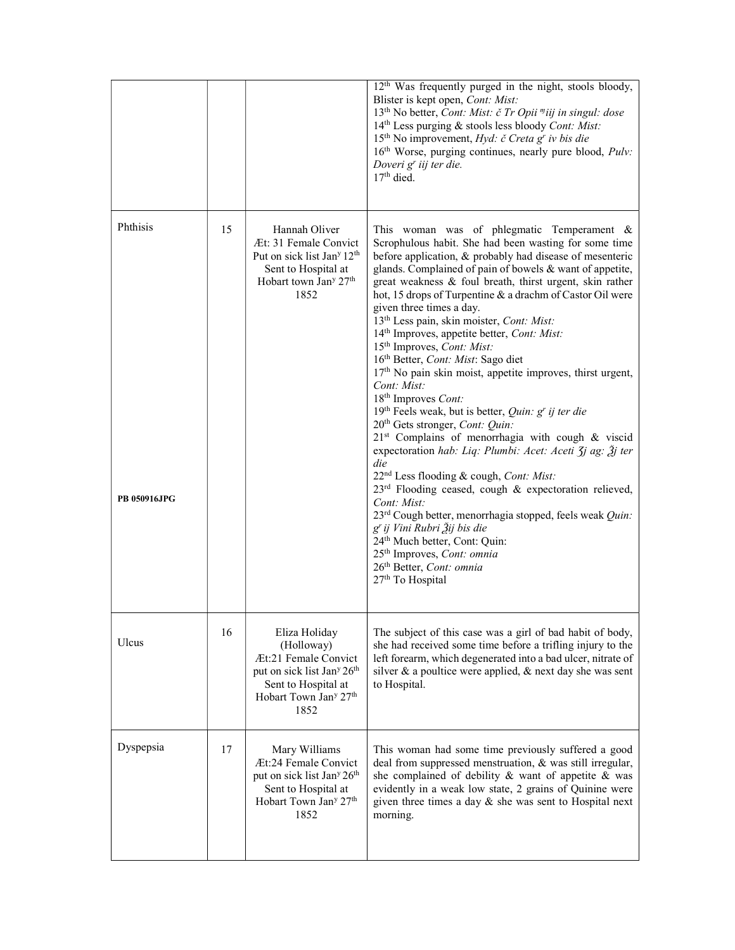|                          |    |                                                                                                                                                                                           | 12 <sup>th</sup> Was frequently purged in the night, stools bloody,<br>Blister is kept open, Cont: Mist:<br>13 <sup>th</sup> No better, Cont: Mist: č Tr Opii <sup>m</sup> iij in singul: dose<br>14 <sup>th</sup> Less purging & stools less bloody Cont: Mist:<br>15 <sup>th</sup> No improvement, <i>Hyd: č Creta g' iv bis die</i><br>16th Worse, purging continues, nearly pure blood, Pulv:<br>Doveri g <sup>r</sup> iij ter die.<br>$17th$ died.                                                                                                                                                                                                                                                                                                                                                                                                                                                                                                                                                                                                                                                                                                                                                                                                                                                                                                                  |
|--------------------------|----|-------------------------------------------------------------------------------------------------------------------------------------------------------------------------------------------|--------------------------------------------------------------------------------------------------------------------------------------------------------------------------------------------------------------------------------------------------------------------------------------------------------------------------------------------------------------------------------------------------------------------------------------------------------------------------------------------------------------------------------------------------------------------------------------------------------------------------------------------------------------------------------------------------------------------------------------------------------------------------------------------------------------------------------------------------------------------------------------------------------------------------------------------------------------------------------------------------------------------------------------------------------------------------------------------------------------------------------------------------------------------------------------------------------------------------------------------------------------------------------------------------------------------------------------------------------------------------|
| Phthisis<br>PB 050916JPG | 15 | Hannah Oliver<br>Æt: 31 Female Convict<br>Put on sick list Jan <sup>y</sup> 12 <sup>th</sup><br>Sent to Hospital at<br>Hobart town Jan <sup>y</sup> 27 <sup>th</sup><br>1852              | This woman was of phlegmatic Temperament &<br>Scrophulous habit. She had been wasting for some time<br>before application, & probably had disease of mesenteric<br>glands. Complained of pain of bowels & want of appetite,<br>great weakness & foul breath, thirst urgent, skin rather<br>hot, 15 drops of Turpentine & a drachm of Castor Oil were<br>given three times a day.<br>13 <sup>th</sup> Less pain, skin moister, Cont: Mist:<br>14 <sup>th</sup> Improves, appetite better, Cont: Mist:<br>15 <sup>th</sup> Improves, <i>Cont: Mist:</i><br>16 <sup>th</sup> Better, Cont: Mist: Sago diet<br>17 <sup>th</sup> No pain skin moist, appetite improves, thirst urgent,<br>Cont: Mist:<br>18 <sup>th</sup> Improves Cont:<br>19th Feels weak, but is better, Quin: g' ij ter die<br>20 <sup>th</sup> Gets stronger, Cont: Quin:<br>21 <sup>st</sup> Complains of menorrhagia with cough & viscid<br>expectoration hab: Liq: Plumbi: Acet: Aceti Jj ag: Žj ter<br>die<br>22 <sup>nd</sup> Less flooding & cough, Cont: Mist:<br>23 <sup>rd</sup> Flooding ceased, cough & expectoration relieved,<br>Cont: Mist:<br>23rd Cough better, menorrhagia stopped, feels weak Quin:<br>g' ij Vini Rubri Žij bis die<br>24th Much better, Cont: Quin:<br>25 <sup>th</sup> Improves, Cont: omnia<br>26 <sup>th</sup> Better, Cont: omnia<br>27 <sup>th</sup> To Hospital |
| Ulcus                    | 16 | Eliza Holiday<br>(Holloway)<br>Æt:21 Female Convict<br>put on sick list Jan <sup>y</sup> 26 <sup>th</sup><br>Sent to Hospital at<br>Hobart Town Jan <sup>y</sup> 27 <sup>th</sup><br>1852 | The subject of this case was a girl of bad habit of body,<br>she had received some time before a trifling injury to the<br>left forearm, which degenerated into a bad ulcer, nitrate of<br>silver & a poultice were applied, & next day she was sent<br>to Hospital.                                                                                                                                                                                                                                                                                                                                                                                                                                                                                                                                                                                                                                                                                                                                                                                                                                                                                                                                                                                                                                                                                                     |
| Dyspepsia                | 17 | Mary Williams<br>Æt:24 Female Convict<br>put on sick list Jan <sup>y</sup> 26 <sup>th</sup><br>Sent to Hospital at<br>Hobart Town Jan <sup>y</sup> 27 <sup>th</sup><br>1852               | This woman had some time previously suffered a good<br>deal from suppressed menstruation, & was still irregular,<br>she complained of debility & want of appetite & was<br>evidently in a weak low state, 2 grains of Quinine were<br>given three times a day $\&$ she was sent to Hospital next<br>morning.                                                                                                                                                                                                                                                                                                                                                                                                                                                                                                                                                                                                                                                                                                                                                                                                                                                                                                                                                                                                                                                             |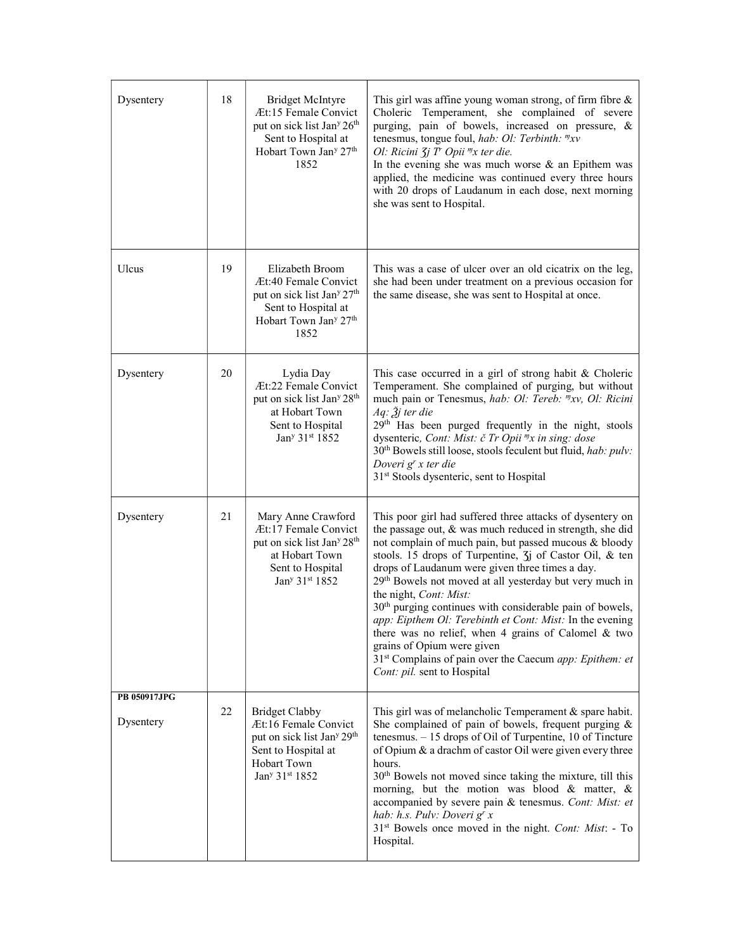| Dysentery                 | 18 | <b>Bridget McIntyre</b><br>Æt:15 Female Convict<br>put on sick list Jan <sup>y</sup> 26 <sup>th</sup><br>Sent to Hospital at<br>Hobart Town Jan <sup>y</sup> 27 <sup>th</sup><br>1852 | This girl was affine young woman strong, of firm fibre $\&$<br>Choleric Temperament, she complained of severe<br>purging, pain of bowels, increased on pressure, &<br>tenesmus, tongue foul, hab: Ol: Terbinth: "xv<br>Ol: Ricini $\zeta j$ T' Opii $\eta x$ ter die.<br>In the evening she was much worse $\&$ an Epithem was<br>applied, the medicine was continued every three hours<br>with 20 drops of Laudanum in each dose, next morning<br>she was sent to Hospital.                                                                                                                                                                                                                                                             |
|---------------------------|----|---------------------------------------------------------------------------------------------------------------------------------------------------------------------------------------|------------------------------------------------------------------------------------------------------------------------------------------------------------------------------------------------------------------------------------------------------------------------------------------------------------------------------------------------------------------------------------------------------------------------------------------------------------------------------------------------------------------------------------------------------------------------------------------------------------------------------------------------------------------------------------------------------------------------------------------|
| Ulcus                     | 19 | Elizabeth Broom<br>Æt:40 Female Convict<br>put on sick list Jan <sup>y</sup> 27 <sup>th</sup><br>Sent to Hospital at<br>Hobart Town Jan <sup>y</sup> 27 <sup>th</sup><br>1852         | This was a case of ulcer over an old cicatrix on the leg,<br>she had been under treatment on a previous occasion for<br>the same disease, she was sent to Hospital at once.                                                                                                                                                                                                                                                                                                                                                                                                                                                                                                                                                              |
| Dysentery                 | 20 | Lydia Day<br>Æt:22 Female Convict<br>put on sick list Jan <sup>y</sup> 28 <sup>th</sup><br>at Hobart Town<br>Sent to Hospital<br>Jan <sup>y</sup> 31 <sup>st</sup> 1852               | This case occurred in a girl of strong habit & Choleric<br>Temperament. She complained of purging, but without<br>much pain or Tenesmus, hab: Ol: Tereb: "xv, Ol: Ricini<br>Aq: Ѯj ter die<br>29th Has been purged frequently in the night, stools<br>dysenteric, Cont: Mist: č Tr Opii "x in sing: dose<br>30 <sup>th</sup> Bowels still loose, stools feculent but fluid, hab: pulv:<br>Doveri g <sup>r</sup> x ter die<br>31 <sup>st</sup> Stools dysenteric, sent to Hospital                                                                                                                                                                                                                                                        |
| Dysentery                 | 21 | Mary Anne Crawford<br>Æt:17 Female Convict<br>put on sick list Jan <sup>y</sup> 28 <sup>th</sup><br>at Hobart Town<br>Sent to Hospital<br>Jan <sup>y</sup> 31 <sup>st</sup> 1852      | This poor girl had suffered three attacks of dysentery on<br>the passage out, & was much reduced in strength, she did<br>not complain of much pain, but passed mucous & bloody<br>stools. 15 drops of Turpentine, $\overline{3}$ of Castor Oil, & ten<br>drops of Laudanum were given three times a day.<br>29 <sup>th</sup> Bowels not moved at all yesterday but very much in<br>the night, Cont: Mist:<br>30 <sup>th</sup> purging continues with considerable pain of bowels,<br>app: Eipthem Ol: Terebinth et Cont: Mist: In the evening<br>there was no relief, when 4 grains of Calomel & two<br>grains of Opium were given<br>31 <sup>st</sup> Complains of pain over the Caecum app: Epithem: et<br>Cont: pil. sent to Hospital |
| PB 050917JPG<br>Dysentery | 22 | <b>Bridget Clabby</b><br>Æt:16 Female Convict<br>put on sick list Jan <sup>y</sup> 29 <sup>th</sup><br>Sent to Hospital at<br>Hobart Town<br>Jan <sup>y</sup> 31 <sup>st</sup> 1852   | This girl was of melancholic Temperament & spare habit.<br>She complained of pain of bowels, frequent purging $\&$<br>tenesmus. $-15$ drops of Oil of Turpentine, 10 of Tincture<br>of Opium & a drachm of castor Oil were given every three<br>hours.<br>30 <sup>th</sup> Bowels not moved since taking the mixture, till this<br>morning, but the motion was blood & matter, &<br>accompanied by severe pain & tenesmus. Cont: Mist: et<br>hab: h.s. Pulv: Doveri g' x<br>31 <sup>st</sup> Bowels once moved in the night. Cont: Mist: - To<br>Hospital.                                                                                                                                                                               |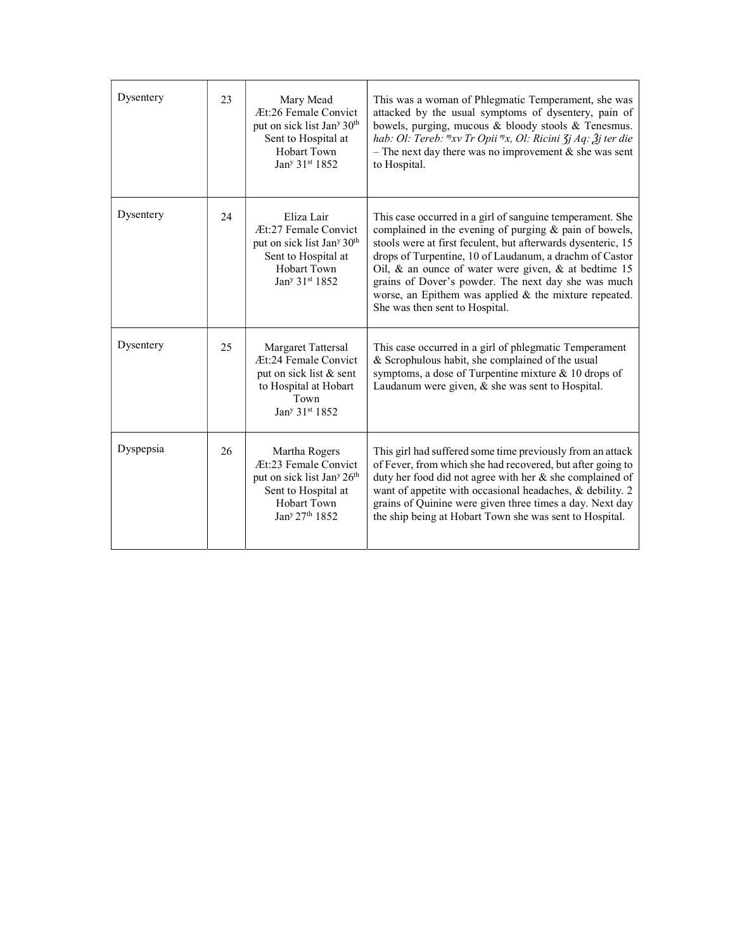| Dysentery | 23 | Mary Mead<br>Æt:26 Female Convict<br>put on sick list Jan <sup>y</sup> 30 <sup>th</sup><br>Sent to Hospital at<br>Hobart Town<br>Jan <sup>y</sup> 31 <sup>st</sup> 1852            | This was a woman of Phlegmatic Temperament, she was<br>attacked by the usual symptoms of dysentery, pain of<br>bowels, purging, mucous & bloody stools & Tenesmus.<br>hab: Ol: Tereb: "xv Tr Opii "x, Ol: Ricini $\zeta$ j Aq: $\zeta$ j ter die<br>- The next day there was no improvement $\&$ she was sent<br>to Hospital.                                                                                                                                    |
|-----------|----|------------------------------------------------------------------------------------------------------------------------------------------------------------------------------------|------------------------------------------------------------------------------------------------------------------------------------------------------------------------------------------------------------------------------------------------------------------------------------------------------------------------------------------------------------------------------------------------------------------------------------------------------------------|
| Dysentery | 24 | Eliza Lair<br>Æt:27 Female Convict<br>put on sick list Jan <sup>y</sup> 30 <sup>th</sup><br>Sent to Hospital at<br>Hobart Town<br>Jan <sup>y</sup> 31st 1852                       | This case occurred in a girl of sanguine temperament. She<br>complained in the evening of purging & pain of bowels,<br>stools were at first feculent, but afterwards dysenteric, 15<br>drops of Turpentine, 10 of Laudanum, a drachm of Castor<br>Oil, $\&$ an ounce of water were given, $\&$ at bedtime 15<br>grains of Dover's powder. The next day she was much<br>worse, an Epithem was applied $&$ the mixture repeated.<br>She was then sent to Hospital. |
| Dysentery | 25 | Margaret Tattersal<br>Æt:24 Female Convict<br>put on sick list & sent<br>to Hospital at Hobart<br>Town<br>Jan <sup>y</sup> 31st 1852                                               | This case occurred in a girl of phlegmatic Temperament<br>& Scrophulous habit, she complained of the usual<br>symptoms, a dose of Turpentine mixture & 10 drops of<br>Laudanum were given, $\&$ she was sent to Hospital.                                                                                                                                                                                                                                        |
| Dyspepsia | 26 | Martha Rogers<br>Æt:23 Female Convict<br>put on sick list Jan <sup>y</sup> 26 <sup>th</sup><br>Sent to Hospital at<br><b>Hobart Town</b><br>Jan <sup>y</sup> 27 <sup>th</sup> 1852 | This girl had suffered some time previously from an attack<br>of Fever, from which she had recovered, but after going to<br>duty her food did not agree with her $\&$ she complained of<br>want of appetite with occasional headaches, & debility. 2<br>grains of Quinine were given three times a day. Next day<br>the ship being at Hobart Town she was sent to Hospital.                                                                                      |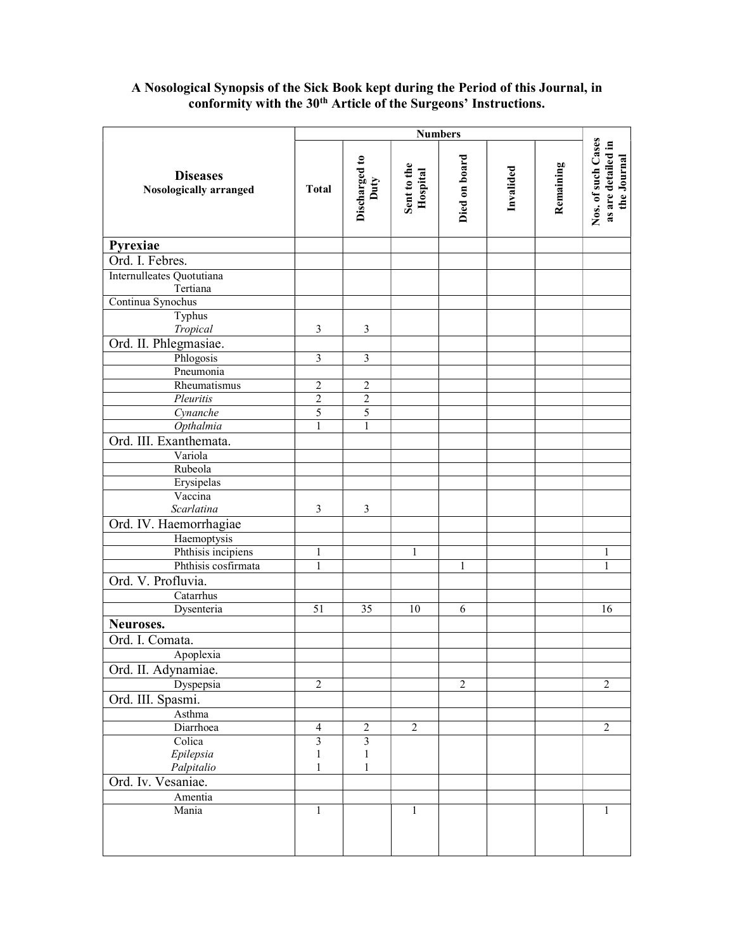#### A Nosological Synopsis of the Sick Book kept during the Period of this Journal, in conformity with the 30<sup>th</sup> Article of the Surgeons' Instructions.

|                                           |                         |                         |                         | <b>Numbers</b> |           |           |                                                         |
|-------------------------------------------|-------------------------|-------------------------|-------------------------|----------------|-----------|-----------|---------------------------------------------------------|
| <b>Diseases</b><br>Nosologically arranged | <b>Total</b>            | Discharged to<br>Duty   | Sent to the<br>Hospital | Died on board  | Invalided | Remaining | Nos. of such Cases<br>as are detailed in<br>the Journal |
| Pyrexiae                                  |                         |                         |                         |                |           |           |                                                         |
| Ord. I. Febres.                           |                         |                         |                         |                |           |           |                                                         |
| Internulleates Quotutiana<br>Tertiana     |                         |                         |                         |                |           |           |                                                         |
| Continua Synochus                         |                         |                         |                         |                |           |           |                                                         |
| Typhus                                    |                         |                         |                         |                |           |           |                                                         |
| Tropical                                  | 3                       | 3                       |                         |                |           |           |                                                         |
| Ord. II. Phlegmasiae.                     |                         |                         |                         |                |           |           |                                                         |
| Phlogosis                                 | 3                       | 3                       |                         |                |           |           |                                                         |
| Pneumonia                                 |                         |                         |                         |                |           |           |                                                         |
| Rheumatismus                              | $\overline{c}$          | $\overline{2}$          |                         |                |           |           |                                                         |
| Pleuritis                                 | $\overline{2}$          | $\overline{2}$          |                         |                |           |           |                                                         |
| Cynanche                                  | 5                       | 5                       |                         |                |           |           |                                                         |
| Opthalmia                                 | $\mathbf{1}$            | $\mathbf{1}$            |                         |                |           |           |                                                         |
| Ord. III. Exanthemata.                    |                         |                         |                         |                |           |           |                                                         |
| Variola                                   |                         |                         |                         |                |           |           |                                                         |
| Rubeola                                   |                         |                         |                         |                |           |           |                                                         |
| Erysipelas                                |                         |                         |                         |                |           |           |                                                         |
| Vaccina                                   |                         |                         |                         |                |           |           |                                                         |
| Scarlatina                                | 3                       | 3                       |                         |                |           |           |                                                         |
| Ord. IV. Haemorrhagiae                    |                         |                         |                         |                |           |           |                                                         |
| Haemoptysis                               |                         |                         |                         |                |           |           |                                                         |
| Phthisis incipiens                        | $\mathbf{1}$            |                         | 1                       |                |           |           | 1                                                       |
| Phthisis cosfirmata                       | 1                       |                         |                         | 1              |           |           | 1                                                       |
| Ord. V. Profluvia.                        |                         |                         |                         |                |           |           |                                                         |
| Catarrhus                                 |                         |                         |                         |                |           |           |                                                         |
| Dysenteria                                | $\overline{51}$         | 35                      | 10                      | 6              |           |           | 16                                                      |
| Neuroses.                                 |                         |                         |                         |                |           |           |                                                         |
| Ord. I. Comata.                           |                         |                         |                         |                |           |           |                                                         |
| Apoplexia                                 |                         |                         |                         |                |           |           |                                                         |
| Ord. II. Adynamiae.                       |                         |                         |                         |                |           |           |                                                         |
| Dyspepsia                                 | $\overline{2}$          |                         |                         | $\overline{2}$ |           |           | $\overline{2}$                                          |
| Ord. III. Spasmi.                         |                         |                         |                         |                |           |           |                                                         |
| Asthma                                    |                         |                         |                         |                |           |           |                                                         |
| Diarrhoea                                 | $\overline{4}$          | $\overline{2}$          | $\overline{2}$          |                |           |           | $\overline{2}$                                          |
| Colica                                    | $\overline{\mathbf{3}}$ | $\overline{\mathbf{3}}$ |                         |                |           |           |                                                         |
| Epilepsia                                 | 1                       | $\mathbf{1}$            |                         |                |           |           |                                                         |
| Palpitalio                                | 1                       | $\mathbf{1}$            |                         |                |           |           |                                                         |
| Ord. Iv. Vesaniae.                        |                         |                         |                         |                |           |           |                                                         |
| Amentia                                   |                         |                         |                         |                |           |           |                                                         |
| Mania                                     | 1                       |                         | $\mathbf{1}$            |                |           |           | $\mathbf{1}$                                            |
|                                           |                         |                         |                         |                |           |           |                                                         |
|                                           |                         |                         |                         |                |           |           |                                                         |
|                                           |                         |                         |                         |                |           |           |                                                         |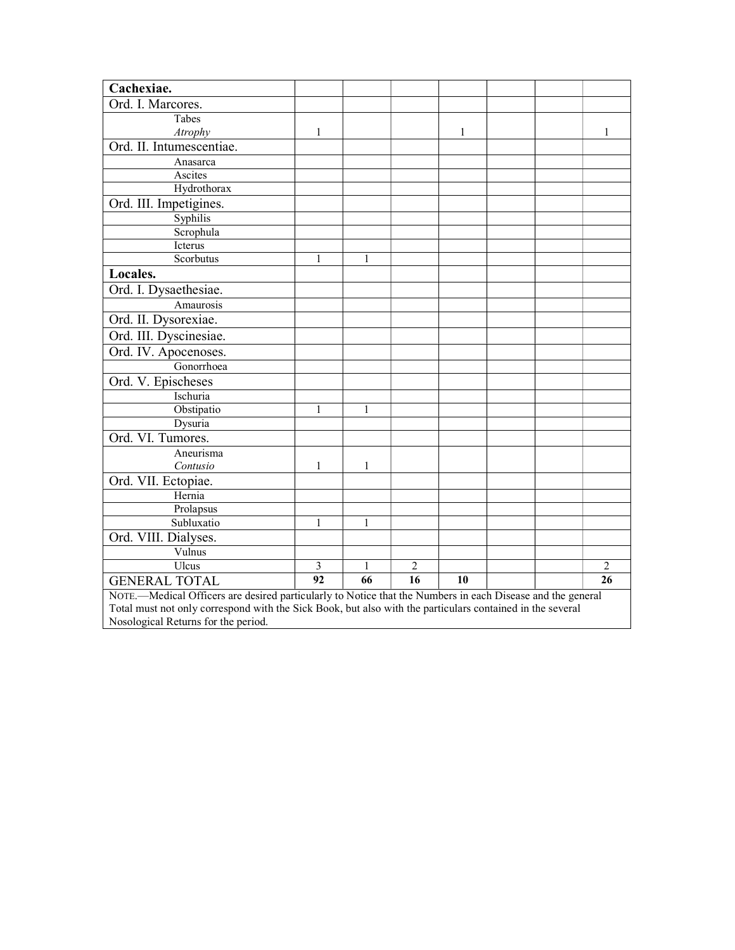| Cachexiae.                                                                                                 |              |              |                |    |  |  |                |
|------------------------------------------------------------------------------------------------------------|--------------|--------------|----------------|----|--|--|----------------|
| Ord. I. Marcores.                                                                                          |              |              |                |    |  |  |                |
| Tabes                                                                                                      |              |              |                |    |  |  |                |
| Atrophy                                                                                                    | 1            |              |                | 1  |  |  | 1              |
| Ord. II. Intumescentiae.                                                                                   |              |              |                |    |  |  |                |
| Anasarca                                                                                                   |              |              |                |    |  |  |                |
| Ascites                                                                                                    |              |              |                |    |  |  |                |
| Hydrothorax                                                                                                |              |              |                |    |  |  |                |
| Ord. III. Impetigines.                                                                                     |              |              |                |    |  |  |                |
| Syphilis                                                                                                   |              |              |                |    |  |  |                |
| Scrophula                                                                                                  |              |              |                |    |  |  |                |
| Icterus                                                                                                    |              |              |                |    |  |  |                |
| Scorbutus                                                                                                  | $\mathbf{1}$ | $\mathbf{1}$ |                |    |  |  |                |
| Locales.                                                                                                   |              |              |                |    |  |  |                |
| Ord. I. Dysaethesiae.                                                                                      |              |              |                |    |  |  |                |
| Amaurosis                                                                                                  |              |              |                |    |  |  |                |
| Ord. II. Dysorexiae.                                                                                       |              |              |                |    |  |  |                |
| Ord. III. Dyscinesiae.                                                                                     |              |              |                |    |  |  |                |
| Ord. IV. Apocenoses.                                                                                       |              |              |                |    |  |  |                |
| Gonorrhoea                                                                                                 |              |              |                |    |  |  |                |
| Ord. V. Epischeses                                                                                         |              |              |                |    |  |  |                |
| Ischuria                                                                                                   |              |              |                |    |  |  |                |
| Obstipatio                                                                                                 | 1            | 1            |                |    |  |  |                |
| Dysuria                                                                                                    |              |              |                |    |  |  |                |
| Ord. VI. Tumores.                                                                                          |              |              |                |    |  |  |                |
| Aneurisma                                                                                                  |              |              |                |    |  |  |                |
| Contusio                                                                                                   | 1            | 1            |                |    |  |  |                |
| Ord. VII. Ectopiae.                                                                                        |              |              |                |    |  |  |                |
| Hernia                                                                                                     |              |              |                |    |  |  |                |
| Prolapsus                                                                                                  |              |              |                |    |  |  |                |
| Subluxatio                                                                                                 | 1            | 1            |                |    |  |  |                |
| Ord. VIII. Dialyses.                                                                                       |              |              |                |    |  |  |                |
| Vulnus                                                                                                     |              |              |                |    |  |  |                |
| Ulcus                                                                                                      | 3            | 1            | $\overline{2}$ |    |  |  | $\overline{2}$ |
| <b>GENERAL TOTAL</b>                                                                                       | 92           | 66           | 16             | 10 |  |  | 26             |
| NOTE.—Medical Officers are desired particularly to Notice that the Numbers in each Disease and the general |              |              |                |    |  |  |                |
| Total must not only correspond with the Sick Book, but also with the particulars contained in the several  |              |              |                |    |  |  |                |
| Nosological Returns for the period.                                                                        |              |              |                |    |  |  |                |